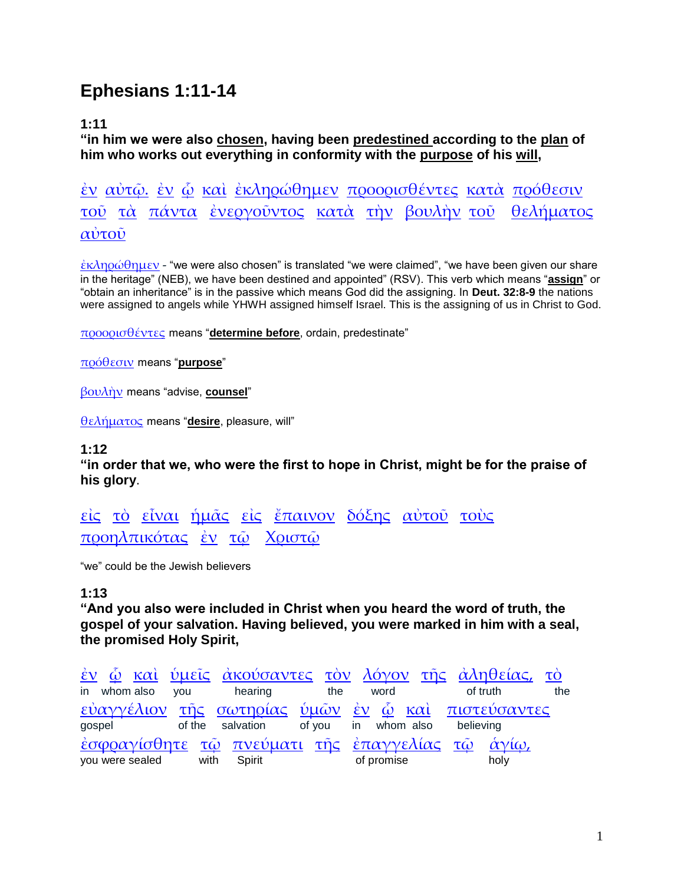# **Ephesians 1:11-14**

# **1:11**

**"in him we were also chosen, having been predestined according to the plan of him who works out everything in conformity with the purpose of his will,**

[ἐν](http://concordance.biblos.com/en.htm) [αὐτῷ.](http://concordance.biblos.com/auto_.htm) [ἐν](http://concordance.biblos.com/en.htm) [ᾧ](http://concordance.biblos.com/o_.htm) [καὶ](http://concordance.biblos.com/kai.htm) [ἐκληρώθημεν](http://concordance.biblos.com/ekle_ro_the_men.htm) [προορισθέντες](http://concordance.biblos.com/prooristhentes.htm) [κατὰ](http://concordance.biblos.com/kata.htm) [πρόθεσιν](http://concordance.biblos.com/prothesin.htm) [τοῦ](http://concordance.biblos.com/tou.htm) [τὰ](http://concordance.biblos.com/ta.htm) [πάντα](http://concordance.biblos.com/panta.htm) [ἐνεργοῦντος](http://concordance.biblos.com/energountos.htm) [κατὰ](http://concordance.biblos.com/kata.htm) [τὴν](http://concordance.biblos.com/te_n.htm) [βουλὴν](http://concordance.biblos.com/boule_n.htm) [τοῦ](http://concordance.biblos.com/tou.htm) [θελήματος](http://concordance.biblos.com/thele_matos.htm) [αὐτοῦ](http://concordance.biblos.com/autou.htm)

[ἐκληρώθημεν](http://concordance.biblos.com/ekle_ro_the_men.htm) - "we were also chosen" is translated "we were claimed", "we have been given our share in the heritage" (NEB), we have been destined and appointed" (RSV). This verb which means "**assign**" or "obtain an inheritance" is in the passive which means God did the assigning. In **Deut. 32:8-9** the nations were assigned to angels while YHWH assigned himself Israel. This is the assigning of us in Christ to God.

[προορισθέντες](http://concordance.biblos.com/prooristhentes.htm) means "**determine before**, ordain, predestinate"

[πρόθεσιν](http://concordance.biblos.com/prothesin.htm) means "**purpose**"

[βουλὴν](http://concordance.biblos.com/boule_n.htm) means "advise, **counsel**"

[θελήματος](http://concordance.biblos.com/thele_matos.htm) means "**desire**, pleasure, will"

## **1:12**

**"in order that we, who were the first to hope in Christ, might be for the praise of his glory**.

[εἰς](http://concordance.biblos.com/eis.htm) [τὸ](http://concordance.biblos.com/to.htm) [εἶναι](http://concordance.biblos.com/einai.htm) [ἡμᾶς](http://concordance.biblos.com/e_mas.htm) [εἰς](http://concordance.biblos.com/eis.htm) [ἔπαινον](http://concordance.biblos.com/epainon.htm) [δόξης](http://concordance.biblos.com/doxe_s.htm) [αὐτοῦ](http://concordance.biblos.com/autou.htm) [τοὺς](http://concordance.biblos.com/tous.htm) [προηλπικότας](http://concordance.biblos.com/proe_lpikotas.htm) [ἐν](http://concordance.biblos.com/en.htm) [τῷ](http://concordance.biblos.com/to_.htm) [Χριστῷ](http://concordance.biblos.com/christo_.htm)

"we" could be the Jewish believers

# **1:13**

**"And you also were included in Christ when you heard the word of truth, the gospel of your salvation. Having believed, you were marked in him with a seal, the promised Holy Spirit,**

| <u>έν ώ και ύμεῖς ἀκούσαντες τὸν λόγον τῆς ἀληθείας, τὸ</u>         |                                                |     |            |          |      |     |
|---------------------------------------------------------------------|------------------------------------------------|-----|------------|----------|------|-----|
| in whom also you                                                    | hearing                                        | the | word       | of truth |      | the |
| εύαγγέλιον της σωτηρίας ύμων έν ώ και πιστεύσαντες<br>gospel        | of the salvation of you in whom also believing |     |            |          |      |     |
| έσφραγίσθητε τῷ πνεύματι της επαγγελίας τῶ άγίω,<br>you were sealed | with Spirit                                    |     | of promise |          | holy |     |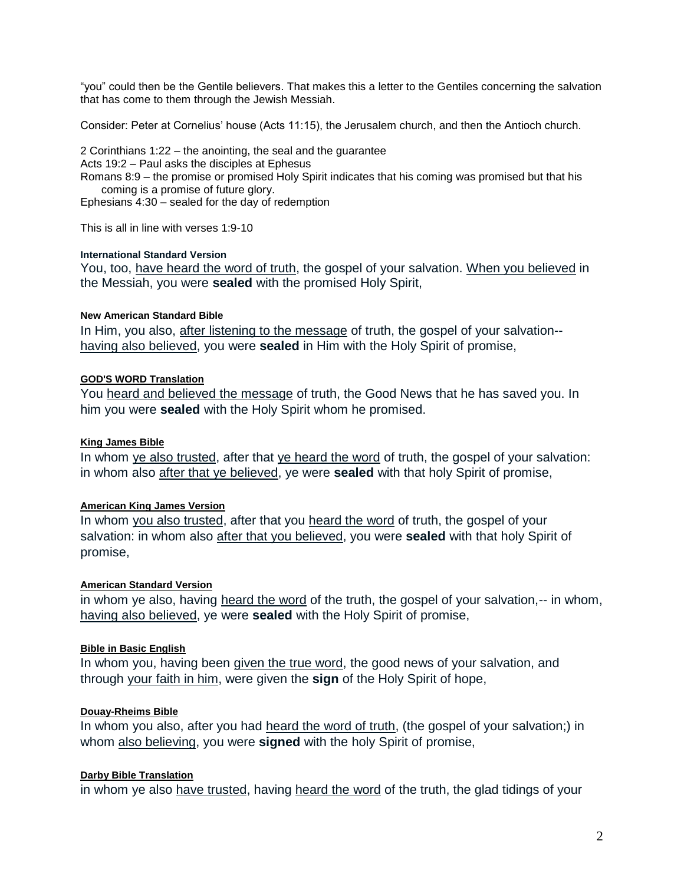"you" could then be the Gentile believers. That makes this a letter to the Gentiles concerning the salvation that has come to them through the Jewish Messiah.

Consider: Peter at Cornelius' house (Acts 11:15), the Jerusalem church, and then the Antioch church.

2 Corinthians 1:22 – the anointing, the seal and the guarantee

Acts 19:2 – Paul asks the disciples at Ephesus

Romans 8:9 – the promise or promised Holy Spirit indicates that his coming was promised but that his coming is a promise of future glory.

Ephesians 4:30 – sealed for the day of redemption

This is all in line with verses 1:9-10

#### **International Standard Version**

You, too, have heard the word of truth, the gospel of your salvation. When you believed in the Messiah, you were **sealed** with the promised Holy Spirit,

#### **[New American Standard Bible](http://nasb.scripturetext.com/ephesians/1.htm)**

In Him, you also, after listening to the message of truth, the gospel of your salvation-having also believed, you were **sealed** in Him with the Holy Spirit of promise,

#### **[GOD'S WORD Translation](http://gwt.scripturetext.com/ephesians/1.htm)**

You heard and believed the message of truth, the Good News that he has saved you. In him you were **sealed** with the Holy Spirit whom he promised.

#### **[King James Bible](http://kingjbible.com/ephesians/1.htm)**

In whom ye also trusted, after that ye heard the word of truth, the gospel of your salvation: in whom also after that ye believed, ye were **sealed** with that holy Spirit of promise,

#### **[American King James Version](http://kjv.us/ephesians/1.htm)**

In whom you also trusted, after that you heard the word of truth, the gospel of your salvation: in whom also after that you believed, you were **sealed** with that holy Spirit of promise,

#### **[American Standard Version](http://asvbible.com/ephesians/1.htm)**

in whom ye also, having heard the word of the truth, the gospel of your salvation,-- in whom, having also believed, ye were **sealed** with the Holy Spirit of promise,

#### **[Bible in Basic English](http://basicenglishbible.com/ephesians/1.htm)**

In whom you, having been given the true word, the good news of your salvation, and through your faith in him, were given the **sign** of the Holy Spirit of hope,

#### **[Douay-Rheims Bible](http://drb.scripturetext.com/ephesians/1.htm)**

In whom you also, after you had heard the word of truth, (the gospel of your salvation;) in whom also believing, you were **signed** with the holy Spirit of promise,

#### **[Darby Bible Translation](http://darbybible.com/ephesians/1.htm)**

in whom ye also have trusted, having heard the word of the truth, the glad tidings of your